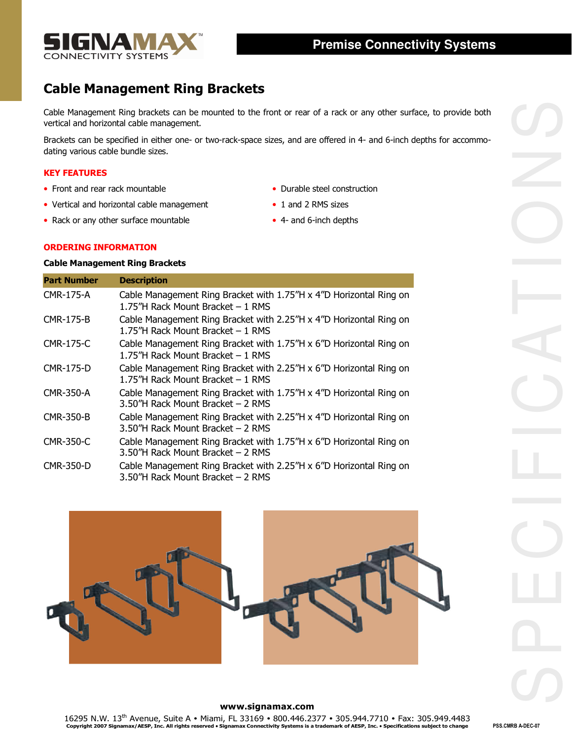

# Cable Management Ring Brackets

### KEY FEATURES

- 
- Vertical and horizontal cable management 1 and 2 RMS sizes
- Rack or any other surface mountable 4- and 6-inch depths
- Front and rear rack mountable  **Durable steel construction** 
	-
	-

## ORDERING INFORMATION

## Cable Management Ring Brackets

| Brackets can be specified in either one- or two-rack-space sizes, and are offered in 4- and 6-inch depths for accommo-<br>dating various cable bundle sizes.<br>• Front and rear rack mountable<br>• Durable steel construction<br>• Vertical and horizontal cable management<br>• 1 and 2 RMS sizes<br>• Rack or any other surface mountable<br>• 4- and 6-inch depths<br><b>ORDERING INFORMATION</b><br><b>Cable Management Ring Brackets</b><br><b>Description</b><br>Cable Management Ring Bracket with 1.75"H x 4"D Horizontal Ring on<br>1.75"H Rack Mount Bracket - 1 RMS<br>Cable Management Ring Bracket with 2.25"H x 4"D Horizontal Ring on<br>1.75"H Rack Mount Bracket - 1 RMS<br>Cable Management Ring Bracket with 1.75"H x 6"D Horizontal Ring on<br>1.75"H Rack Mount Bracket - 1 RMS<br>Cable Management Ring Bracket with 2.25"H x 6"D Horizontal Ring on<br>1.75"H Rack Mount Bracket - 1 RMS<br>Cable Management Ring Bracket with 1.75"H x 4"D Horizontal Ring on<br>3.50"H Rack Mount Bracket - 2 RMS<br>Cable Management Ring Bracket with 2.25"H x 4"D Horizontal Ring on<br>3.50"H Rack Mount Bracket - 2 RMS<br>Cable Management Ring Bracket with 1.75"H x 6"D Horizontal Ring on<br>3.50"H Rack Mount Bracket - 2 RMS<br>Cable Management Ring Bracket with 2.25"H x 6"D Horizontal Ring on<br>3.50"H Rack Mount Bracket - 2 RMS<br>www.signamax.com<br>16295 N.W. 13 <sup>th</sup> Avenue, Suite A • Miami, FL 33169 • 800.446.2377 • 305.944.7710 • Fax: 305.949.4483<br>Copyright 2007 Signamax/AESP, Inc. All rights reserved • Signamax Connectivity Systems is a trademark of AESP, Inc. • Sp<br>PSS.CMRB A-DEC-07 |                     | vertical and horizontal cable management. | Cable Management Ring brackets can be mounted to the front or rear of a rack or any other surface, to provide both |  |
|-------------------------------------------------------------------------------------------------------------------------------------------------------------------------------------------------------------------------------------------------------------------------------------------------------------------------------------------------------------------------------------------------------------------------------------------------------------------------------------------------------------------------------------------------------------------------------------------------------------------------------------------------------------------------------------------------------------------------------------------------------------------------------------------------------------------------------------------------------------------------------------------------------------------------------------------------------------------------------------------------------------------------------------------------------------------------------------------------------------------------------------------------------------------------------------------------------------------------------------------------------------------------------------------------------------------------------------------------------------------------------------------------------------------------------------------------------------------------------------------------------------------------------------------------------------------------------------------------------------------------------------------------------|---------------------|-------------------------------------------|--------------------------------------------------------------------------------------------------------------------|--|
|                                                                                                                                                                                                                                                                                                                                                                                                                                                                                                                                                                                                                                                                                                                                                                                                                                                                                                                                                                                                                                                                                                                                                                                                                                                                                                                                                                                                                                                                                                                                                                                                                                                       |                     |                                           |                                                                                                                    |  |
|                                                                                                                                                                                                                                                                                                                                                                                                                                                                                                                                                                                                                                                                                                                                                                                                                                                                                                                                                                                                                                                                                                                                                                                                                                                                                                                                                                                                                                                                                                                                                                                                                                                       | <b>KEY FEATURES</b> |                                           |                                                                                                                    |  |
|                                                                                                                                                                                                                                                                                                                                                                                                                                                                                                                                                                                                                                                                                                                                                                                                                                                                                                                                                                                                                                                                                                                                                                                                                                                                                                                                                                                                                                                                                                                                                                                                                                                       |                     |                                           |                                                                                                                    |  |
|                                                                                                                                                                                                                                                                                                                                                                                                                                                                                                                                                                                                                                                                                                                                                                                                                                                                                                                                                                                                                                                                                                                                                                                                                                                                                                                                                                                                                                                                                                                                                                                                                                                       |                     |                                           |                                                                                                                    |  |
|                                                                                                                                                                                                                                                                                                                                                                                                                                                                                                                                                                                                                                                                                                                                                                                                                                                                                                                                                                                                                                                                                                                                                                                                                                                                                                                                                                                                                                                                                                                                                                                                                                                       |                     |                                           |                                                                                                                    |  |
|                                                                                                                                                                                                                                                                                                                                                                                                                                                                                                                                                                                                                                                                                                                                                                                                                                                                                                                                                                                                                                                                                                                                                                                                                                                                                                                                                                                                                                                                                                                                                                                                                                                       |                     |                                           |                                                                                                                    |  |
|                                                                                                                                                                                                                                                                                                                                                                                                                                                                                                                                                                                                                                                                                                                                                                                                                                                                                                                                                                                                                                                                                                                                                                                                                                                                                                                                                                                                                                                                                                                                                                                                                                                       |                     |                                           |                                                                                                                    |  |
|                                                                                                                                                                                                                                                                                                                                                                                                                                                                                                                                                                                                                                                                                                                                                                                                                                                                                                                                                                                                                                                                                                                                                                                                                                                                                                                                                                                                                                                                                                                                                                                                                                                       | <b>Part Number</b>  |                                           |                                                                                                                    |  |
|                                                                                                                                                                                                                                                                                                                                                                                                                                                                                                                                                                                                                                                                                                                                                                                                                                                                                                                                                                                                                                                                                                                                                                                                                                                                                                                                                                                                                                                                                                                                                                                                                                                       | <b>CMR-175-A</b>    |                                           |                                                                                                                    |  |
|                                                                                                                                                                                                                                                                                                                                                                                                                                                                                                                                                                                                                                                                                                                                                                                                                                                                                                                                                                                                                                                                                                                                                                                                                                                                                                                                                                                                                                                                                                                                                                                                                                                       | <b>CMR-175-B</b>    |                                           |                                                                                                                    |  |
|                                                                                                                                                                                                                                                                                                                                                                                                                                                                                                                                                                                                                                                                                                                                                                                                                                                                                                                                                                                                                                                                                                                                                                                                                                                                                                                                                                                                                                                                                                                                                                                                                                                       | <b>CMR-175-C</b>    |                                           |                                                                                                                    |  |
|                                                                                                                                                                                                                                                                                                                                                                                                                                                                                                                                                                                                                                                                                                                                                                                                                                                                                                                                                                                                                                                                                                                                                                                                                                                                                                                                                                                                                                                                                                                                                                                                                                                       | <b>CMR-175-D</b>    |                                           |                                                                                                                    |  |
|                                                                                                                                                                                                                                                                                                                                                                                                                                                                                                                                                                                                                                                                                                                                                                                                                                                                                                                                                                                                                                                                                                                                                                                                                                                                                                                                                                                                                                                                                                                                                                                                                                                       | <b>CMR-350-A</b>    |                                           |                                                                                                                    |  |
|                                                                                                                                                                                                                                                                                                                                                                                                                                                                                                                                                                                                                                                                                                                                                                                                                                                                                                                                                                                                                                                                                                                                                                                                                                                                                                                                                                                                                                                                                                                                                                                                                                                       | <b>CMR-350-B</b>    |                                           |                                                                                                                    |  |
|                                                                                                                                                                                                                                                                                                                                                                                                                                                                                                                                                                                                                                                                                                                                                                                                                                                                                                                                                                                                                                                                                                                                                                                                                                                                                                                                                                                                                                                                                                                                                                                                                                                       | CMR-350-C           |                                           |                                                                                                                    |  |
|                                                                                                                                                                                                                                                                                                                                                                                                                                                                                                                                                                                                                                                                                                                                                                                                                                                                                                                                                                                                                                                                                                                                                                                                                                                                                                                                                                                                                                                                                                                                                                                                                                                       | CMR-350-D           |                                           |                                                                                                                    |  |
|                                                                                                                                                                                                                                                                                                                                                                                                                                                                                                                                                                                                                                                                                                                                                                                                                                                                                                                                                                                                                                                                                                                                                                                                                                                                                                                                                                                                                                                                                                                                                                                                                                                       |                     |                                           |                                                                                                                    |  |
|                                                                                                                                                                                                                                                                                                                                                                                                                                                                                                                                                                                                                                                                                                                                                                                                                                                                                                                                                                                                                                                                                                                                                                                                                                                                                                                                                                                                                                                                                                                                                                                                                                                       |                     |                                           |                                                                                                                    |  |
|                                                                                                                                                                                                                                                                                                                                                                                                                                                                                                                                                                                                                                                                                                                                                                                                                                                                                                                                                                                                                                                                                                                                                                                                                                                                                                                                                                                                                                                                                                                                                                                                                                                       |                     |                                           |                                                                                                                    |  |
|                                                                                                                                                                                                                                                                                                                                                                                                                                                                                                                                                                                                                                                                                                                                                                                                                                                                                                                                                                                                                                                                                                                                                                                                                                                                                                                                                                                                                                                                                                                                                                                                                                                       |                     |                                           |                                                                                                                    |  |



#### www.signamax.com

16295 N.W. 13<sup>th</sup> Avenue, Suite A • Miami, FL 33169 • 800.446.2377 • 305.944.7710 • Fax: 305.949.4483<br>Copyright 2007 Signamax/AESP, Inc. All rights reserved • Signamax Connectivity Systems is a trademark of AESP, Inc. • Sp